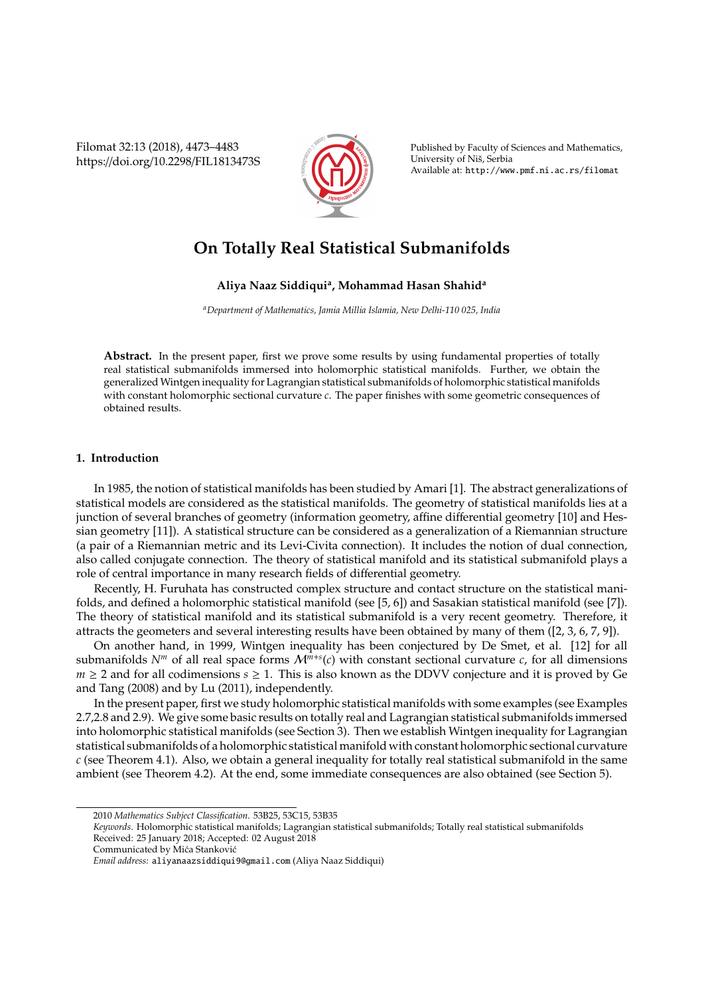Filomat 32:13 (2018), 4473–4483 https://doi.org/10.2298/FIL1813473S



Published by Faculty of Sciences and Mathematics, University of Niš, Serbia Available at: http://www.pmf.ni.ac.rs/filomat

# **On Totally Real Statistical Submanifolds**

## **Aliya Naaz Siddiqui<sup>a</sup> , Mohammad Hasan Shahid<sup>a</sup>**

*<sup>a</sup>Department of Mathematics, Jamia Millia Islamia, New Delhi-110 025, India*

Abstract. In the present paper, first we prove some results by using fundamental properties of totally real statistical submanifolds immersed into holomorphic statistical manifolds. Further, we obtain the generalized Wintgen inequality for Lagrangian statistical submanifolds of holomorphic statistical manifolds with constant holomorphic sectional curvature *c*. The paper finishes with some geometric consequences of obtained results.

## **1. Introduction**

In 1985, the notion of statistical manifolds has been studied by Amari [1]. The abstract generalizations of statistical models are considered as the statistical manifolds. The geometry of statistical manifolds lies at a junction of several branches of geometry (information geometry, affine differential geometry [10] and Hessian geometry [11]). A statistical structure can be considered as a generalization of a Riemannian structure (a pair of a Riemannian metric and its Levi-Civita connection). It includes the notion of dual connection, also called conjugate connection. The theory of statistical manifold and its statistical submanifold plays a role of central importance in many research fields of differential geometry.

Recently, H. Furuhata has constructed complex structure and contact structure on the statistical manifolds, and defined a holomorphic statistical manifold (see [5, 6]) and Sasakian statistical manifold (see [7]). The theory of statistical manifold and its statistical submanifold is a very recent geometry. Therefore, it attracts the geometers and several interesting results have been obtained by many of them ([2, 3, 6, 7, 9]).

On another hand, in 1999, Wintgen inequality has been conjectured by De Smet, et al. [12] for all submanifolds  $N^m$  of all real space forms  $M^{m+s}(c)$  with constant sectional curvature *c*, for all dimensions  $m \geq 2$  and for all codimensions  $s \geq 1$ . This is also known as the DDVV conjecture and it is proved by Ge and Tang (2008) and by Lu (2011), independently.

In the present paper, first we study holomorphic statistical manifolds with some examples (see Examples 2.7,2.8 and 2.9). We give some basic results on totally real and Lagrangian statistical submanifolds immersed into holomorphic statistical manifolds (see Section 3). Then we establish Wintgen inequality for Lagrangian statistical submanifolds of a holomorphic statistical manifold with constant holomorphic sectional curvature *c* (see Theorem 4.1). Also, we obtain a general inequality for totally real statistical submanifold in the same ambient (see Theorem 4.2). At the end, some immediate consequences are also obtained (see Section 5).

Received: 25 January 2018; Accepted: 02 August 2018

<sup>2010</sup> *Mathematics Subject Classification*. 53B25, 53C15, 53B35

*Keywords*. Holomorphic statistical manifolds; Lagrangian statistical submanifolds; Totally real statistical submanifolds

Communicated by Mića Stanković

*Email address:* aliyanaazsiddiqui9@gmail.com (Aliya Naaz Siddiqui)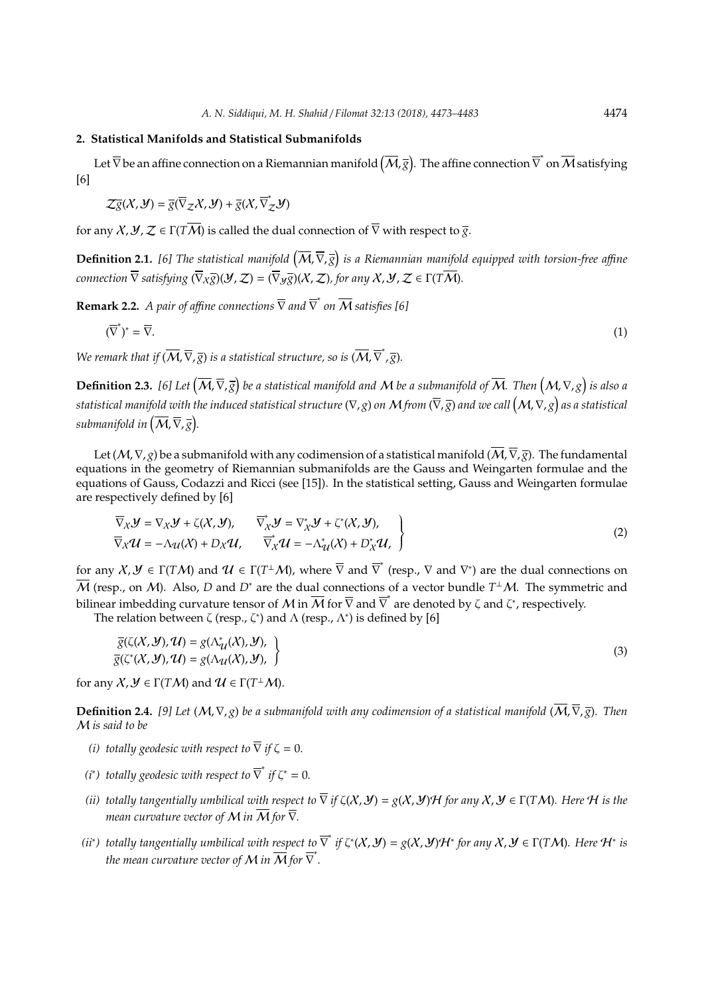### **2. Statistical Manifolds and Statistical Submanifolds**

Let  $\overline{\nabla}$  be an affine connection on a Riemannian manifold  $(\overline{M},\overline{g})$ . The affine connection  $\overline{\nabla}^*$  on  $\overline{M}$  satisfying [6]

$$
\mathcal{Z}\overline{g}(\mathcal{X},\mathcal{Y})=\overline{g}(\overline{\nabla}_{\mathcal{Z}}\mathcal{X},\mathcal{Y})+\overline{g}(\mathcal{X},\overline{\nabla}_{\mathcal{Z}}^*\mathcal{Y})
$$

for any  $\chi$ ,  $\chi$ ,  $\chi \in \Gamma(T\overline{M})$  is called the dual connection of  $\overline{\nabla}$  with respect to  $\overline{g}$ .

Definition 2.1. [6] The statistical manifold  $(\overline{M}, \overline{\nabla}, \overline{g})$  is a Riemannian manifold equipped with torsion-free affine *connection*  $\overline{\nabla}$  *satisfying*  $(\overline{\nabla}_X \overline{g})(\mathcal{Y}, \mathcal{Z}) = (\overline{\nabla}_Y \overline{g})(X, \mathcal{Z})$ *, for any*  $X, \mathcal{Y}, \mathcal{Z} \in \Gamma(T\overline{\mathcal{M}})$ .

**Remark 2.2.** *A pair of affine connections*  $\overline{\nabla}$  *and*  $\overline{\nabla}^*$  *on*  $\overline{\mathcal{M}}$  *satisfies* [6]

$$
(\overline{\nabla}^*)^* = \overline{\nabla}.
$$
 (1)

*We remark that if*  $(\overline{M}, \overline{\nabla}, \overline{g})$  *is a statistical structure, so is*  $(\overline{M}, \overline{\nabla}^*, \overline{g})$ *.* 

 $\bf{Definition 2.3.}$  [6] Let  $(\overline{M},\overline{\nabla},\overline{g})$  be a statistical manifold and  $M$  be a submanifold of  $\overline{M}$ . Then  $(M,\nabla,g)$  is also a *statistical manifold with the induced statistical structure* (∇, *g*) *on* M *from* (∇, *g*) *and we call* M,∇, *g as a statistical* submanifold in  $(\overline{\mathcal{M}},\overline{\nabla},\overline{g}).$ 

Let (M,  $\nabla$ , *g*) be a submanifold with any codimension of a statistical manifold ( $\overline{M}$ ,  $\overline{\nabla}$ ,  $\overline{g}$ ). The fundamental equations in the geometry of Riemannian submanifolds are the Gauss and Weingarten formulae and the equations of Gauss, Codazzi and Ricci (see [15]). In the statistical setting, Gauss and Weingarten formulae are respectively defined by [6]

$$
\overline{\nabla}_{X} \mathcal{Y} = \nabla_{X} \mathcal{Y} + \zeta(X, \mathcal{Y}), \qquad \overline{\nabla}_{X}^{*} \mathcal{Y} = \nabla_{X}^{*} \mathcal{Y} + \zeta^{*}(X, \mathcal{Y}),
$$
\n
$$
\overline{\nabla}_{X} \mathcal{U} = -\Lambda_{\mathcal{U}}(X) + D_{X} \mathcal{U}, \qquad \overline{\nabla}_{X}^{*} \mathcal{U} = -\Lambda_{\mathcal{U}}^{*}(X) + D_{X}^{*} \mathcal{U},
$$
\n(2)

for any  $\mathcal{X}, \mathcal{Y} \in \Gamma(T\mathcal{M})$  and  $\mathcal{U} \in \Gamma(T^{\perp}\mathcal{M})$ , where  $\overline{\nabla}$  and  $\overline{\nabla}^*$  (resp.,  $\nabla$  and  $\nabla^*$ ) are the dual connections on  $\overline{\mathcal{M}}$  (resp., on  $\mathcal{M}$ ). Also, *D* and  $D^*$  are the dual connections of a vector bundle  $T^{\perp}\mathcal{M}$ . The symmetric and bilinear imbedding curvature tensor of M in  $\overline{M}$  for  $\overline{\nabla}$  and  $\overline{\nabla}^*$  are denoted by  $\zeta$  and  $\zeta^*$ , respectively.

The relation between  $\zeta$  (resp.,  $\zeta^*$ ) and  $\Lambda$  (resp.,  $\Lambda^*$ ) is defined by [6]

$$
\overline{g}(\zeta(X, Y), \mathcal{U}) = g(\Lambda_{\mathcal{U}}^*(X), Y), \overline{g}(\zeta^*(X, Y), \mathcal{U}) = g(\Lambda_{\mathcal{U}}(X), Y),
$$
\n(3)

for any  $X, Y \in \Gamma(TM)$  and  $\mathcal{U} \in \Gamma(T^{\perp}M)$ .

**Definition 2.4.** [9] Let  $(M, \nabla, g)$  be a submanifold with any codimension of a statistical manifold  $(\overline{M}, \overline{\nabla}, \overline{g})$ . Then M *is said to be*

- *(i) totally geodesic with respect to*  $\overline{\nabla}$  *if*  $\zeta = 0$ *.*
- *(i\*)* totally geodesic with respect to  $\overline{\nabla}^*$  if  $\zeta^* = 0$ .
- *(ii) totally tangentially umbilical with respect to*  $\overline{\nabla}$  *if*  $\zeta(X, Y) = g(X, Y)H$  *for any*  $X, Y \in \Gamma(TM)$ *. Here* H *is the mean curvature vector of* M *in*  $\overline{M}$  *for*  $\overline{\nabla}$ *.*
- *(ii\*)* totally tangentially umbilical with respect to  $\overline{\nabla}^*$  if  $\zeta^*(X, Y) = g(X, Y)H^*$  for any  $X, Y \in \Gamma(TM)$ . Here  $H^*$  is *the mean curvature vector of*  ${\cal M}$  *in*  $\overline{\cal M}$  *for*  $\overline{\nabla}$  *.*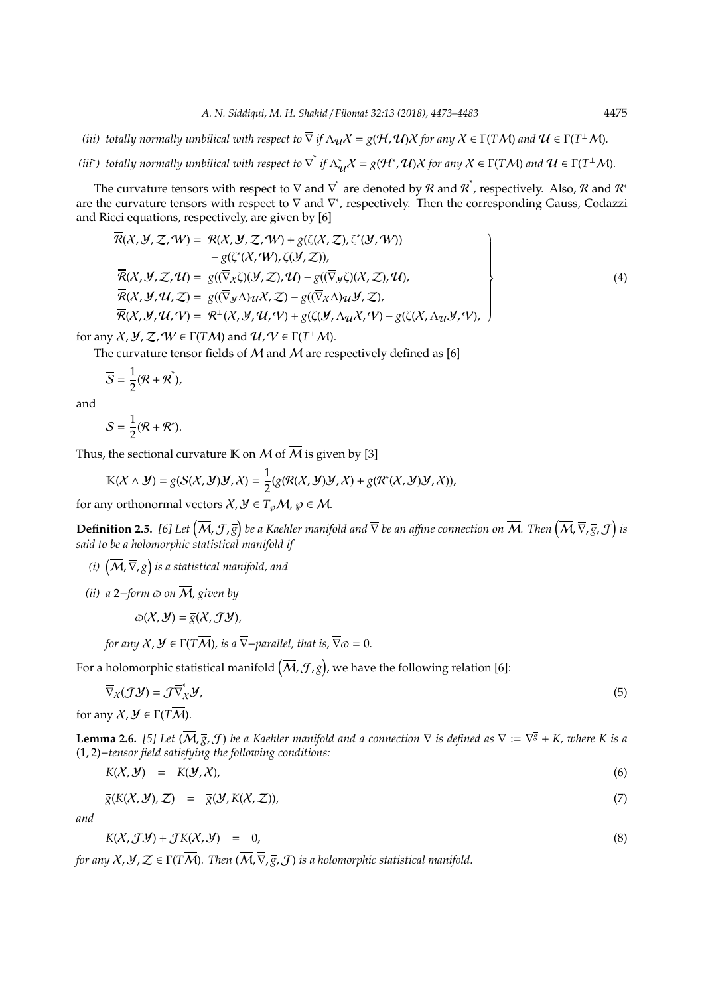*(iii) totally normally umbilical with respect to*  $\overline{\nabla}$  *if*  $\Lambda_{\cal U} {\cal X} =$  *g(H, U)X for any*  ${\cal X} \in \Gamma(T{\cal M})$  *and*  ${\cal U} \in \Gamma(T^\perp{\cal M})$ *.* 

(iii\*) totally normally umbilical with respect to  $\overline{\nabla}^*$  if  $\Lambda^*_{\mathcal{U}}\mathcal{X}=g(\mathcal{H}^*,\mathcal{U})\mathcal{X}$  for any  $\mathcal{X}\in\Gamma(T\mathcal{M})$  and  $\mathcal{U}\in\Gamma(T^\perp\mathcal{M})$ .

The curvature tensors with respect to  $\overline{\nabla}$  and  $\overline{\nabla}^*$  are denoted by  $\overline{\mathcal{R}}$  and  $\overline{\mathcal{R}}^*$ , respectively. Also,  $\mathcal R$  and  $\mathcal R^*$ are the curvature tensors with respect to  $\nabla$  and  $\nabla^*$ , respectively. Then the corresponding Gauss, Codazzi and Ricci equations, respectively, are given by [6]

$$
\overline{\mathcal{R}}(X, Y, Z, W) = \mathcal{R}(X, Y, Z, W) + \overline{g}(\zeta(X, Z), \zeta^*(Y, W)) \n- \overline{g}(\zeta^*(X, W), \zeta(Y, Z)),\n\overline{\mathcal{R}}(X, Y, Z, U) = \overline{g}((\overline{\nabla}_X \zeta)(Y, Z), U) - \overline{g}((\overline{\nabla}_Y \zeta)(X, Z), U),\n\overline{\mathcal{R}}(X, Y, U, Z) = g((\overline{\nabla}_Y \Lambda) \cdot uX, Z) - g((\overline{\nabla}_X \Lambda) \cdot uY, Z),\n\overline{\mathcal{R}}(X, Y, U, V) = \mathcal{R}^{\perp}(X, Y, U, V) + \overline{g}(\zeta(Y, \Lambda_{U} X, V) - \overline{g}(\zeta(X, \Lambda_{U} Y, V)),
$$
\n(4)

for any  $X, Y, Z, W \in \Gamma(TM)$  and  $U, V \in \Gamma(T^{\perp}M)$ .

The curvature tensor fields of  $\overline{M}$  and  $M$  are respectively defined as [6]

$$
\overline{S}=\frac{1}{2}(\overline{R}+\overline{R}^*),
$$

and

$$
S=\frac{1}{2}(\mathcal{R}+\mathcal{R}^*).
$$

Thus, the sectional curvature K on M of  $\overline{M}$  is given by [3]

$$
\mathbb{K}(\mathcal{X}\wedge\mathcal{Y})=g(\mathcal{S}(\mathcal{X},\mathcal{Y})\mathcal{Y},\mathcal{X})=\frac{1}{2}(g(\mathcal{R}(\mathcal{X},\mathcal{Y})\mathcal{Y},\mathcal{X})+g(\mathcal{R}^*(\mathcal{X},\mathcal{Y})\mathcal{Y},\mathcal{X})),
$$

for any orthonormal vectors  $X, Y \in T_{\varphi}M$ ,  $\varphi \in M$ .

 $\bf{Definition 2.5.}$  [6] Let  $(\overline{\cal M},{\cal J},\overline{\tilde{g}})$  be a Kaehler manifold and  $\overline{\nabla}$  be an affine connection on  $\overline{\cal M}$ . Then  $(\overline{\cal M},\overline{\nabla},\overline{g},{\cal J})$  is *said to be a holomorphic statistical manifold if*

- (*i*)  $\left(\overline{\mathcal{M}}, \overline{\nabla}, \overline{g}\right)$  is a statistical manifold, and
- *(ii)*  $a$  2−*form*  $\omega$  *on*  $\overline{M}$ *, given by*

$$
\varpi(X, \mathcal{Y}) = \overline{g}(X, \mathcal{J}\mathcal{Y}),
$$

*for any*  $X, Y \in \Gamma(T\overline{M})$ *, is a*  $\overline{\nabla}$ *-parallel, that is,*  $\overline{\nabla}$  $\omega$  = 0*.* 

For a holomorphic statistical manifold  $(\overline{\cal M},{\cal J},\overline{g})$ , we have the following relation [6]:

$$
\overline{\nabla}_{X}(\mathcal{J}\mathcal{Y})=\mathcal{J}\overline{\nabla}_{X}^{*}\mathcal{Y},\tag{5}
$$

for any  $\mathcal{X}, \mathcal{Y} \in \Gamma(T\overline{\mathcal{M}})$ .

**Lemma 2.6.** [5] Let  $(\overline{M},\overline{g},\mathcal{J})$  be a Kaehler manifold and a connection  $\overline{\nabla}$  is defined as  $\overline{\nabla}:=\nabla^{\overline{g}}+K$ , where K is a (1, 2)−*tensor field satisfying the following conditions:*

$$
K(X, Y) = K(Y, X), \tag{6}
$$

$$
\overline{g}(K(X, Y), Z) = \overline{g}(Y, K(X, Z)), \tag{7}
$$

*and*

$$
K(X, \mathcal{J} \mathcal{Y}) + \mathcal{J}K(X, \mathcal{Y}) = 0, \tag{8}
$$

*for any*  $X, Y, Z \in \Gamma(T\overline{M})$ *. Then*  $(\overline{M}, \overline{\nabla}, \overline{g}, \mathcal{J})$  *is a holomorphic statistical manifold.*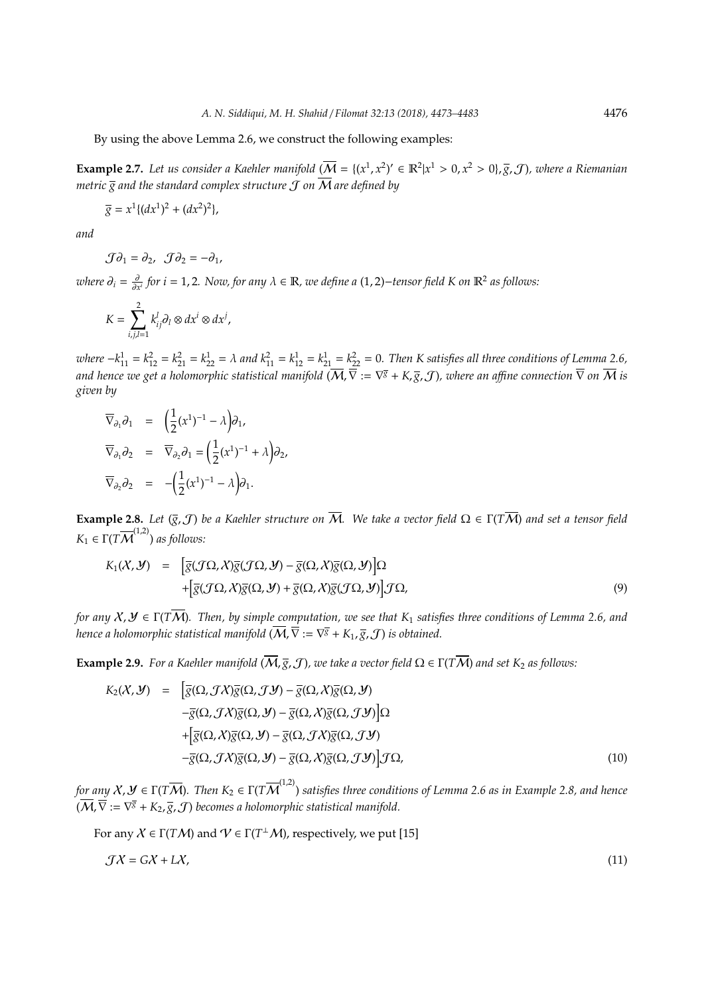By using the above Lemma 2.6, we construct the following examples:

**Example 2.7.** Let us consider a Kaehler manifold  $(\overline{M} = \{(x^1, x^2)' \in \mathbb{R}^2 | x^1 > 0, x^2 > 0\}, \overline{g}, \mathcal{J})$ , where a Riemanian *metric*  $\overline{\overline{s}}$  and the standard complex structure  $\overline{J}$  on  $\overline{M}$  are defined by

$$
\overline{g} = x^1 \{ (dx^1)^2 + (dx^2)^2 \},\
$$

*and*

$$
\mathcal{J}\partial_1=\partial_2,\ \ \mathcal{J}\partial_2=-\partial_1,
$$

*where* ∂*<sup>i</sup>* = ∂ ∂*x i for i* = 1, 2*. Now, for any* λ ∈ R*, we define a* (1, 2)−*tensor field K on* R<sup>2</sup> *as follows:*

$$
K=\sum_{i,j,l=1}^2 k_{ij}^l \partial_l \otimes dx^i \otimes dx^j,
$$

 $where -k_{11}^1 = k_{12}^2 = k_{21}^2 = k_{22}^1 = \lambda$  and  $k_{11}^2 = k_{12}^1 = k_{21}^2 = k_{22}^2 = 0$ . Then K satisfies all three conditions of Lemma 2.6, *and hence we get a holomorphic statistical manifold* (M,∇ := ∇ *<sup>g</sup>* + *K*, *g*, J)*, where an a*ffi*ne connection* ∇ *on* M *is given by*

$$
\overline{\nabla}_{\partial_1} \partial_1 = \left( \frac{1}{2} (x^1)^{-1} - \lambda \right) \partial_1,
$$
  
\n
$$
\overline{\nabla}_{\partial_1} \partial_2 = \overline{\nabla}_{\partial_2} \partial_1 = \left( \frac{1}{2} (x^1)^{-1} + \lambda \right) \partial_2,
$$
  
\n
$$
\overline{\nabla}_{\partial_2} \partial_2 = -\left( \frac{1}{2} (x^1)^{-1} - \lambda \right) \partial_1.
$$

**Example 2.8.** *Let*  $(\overline{g}, \mathcal{J})$  *be a Kaehler structure on*  $\overline{\mathcal{M}}$ *. We take a vector field*  $\Omega \in \Gamma(T\overline{\mathcal{M}})$  *and set a tensor field*  $K_1 \in \Gamma(T\overline{\mathcal{M}}^{(1,2)})$  *as follows:* 

$$
K_1(\mathcal{X}, \mathcal{Y}) = \left[ \overline{g}(\mathcal{J}\Omega, \mathcal{X}) \overline{g}(\mathcal{J}\Omega, \mathcal{Y}) - \overline{g}(\Omega, \mathcal{X}) \overline{g}(\Omega, \mathcal{Y}) \right] \Omega + \left[ \overline{g}(\mathcal{J}\Omega, \mathcal{X}) \overline{g}(\Omega, \mathcal{Y}) + \overline{g}(\Omega, \mathcal{X}) \overline{g}(\mathcal{J}\Omega, \mathcal{Y}) \right] \mathcal{J}\Omega,
$$
\n(9)

*for any* X, Y ∈ Γ(*T*M)*. Then, by simple computation, we see that K*<sup>1</sup> *satisfies three conditions of Lemma 2.6, and hence a holomorphic statistical manifold*  $(\overline{\cal M},\overline{\nabla}:=\nabla^{\overline{g}}+K_1,\overline{g},\mathcal{J})$  *is obtained.* 

**Example 2.9.** *For a Kaehler manifold*  $(\overline{M}, \overline{g}, \mathcal{J})$ *, we take a vector field*  $\Omega \in \Gamma(T\overline{M})$  *and set*  $K_2$  *as follows:* 

$$
K_2(X, Y) = \left[ \overline{g}(\Omega, \mathcal{J}X)\overline{g}(\Omega, \mathcal{J}Y) - \overline{g}(\Omega, X)\overline{g}(\Omega, Y) - \overline{g}(\Omega, \mathcal{J}X)\overline{g}(\Omega, \mathcal{J}Y) \right] \Omega - \overline{g}(\Omega, \mathcal{J}X)\overline{g}(\Omega, \mathcal{Y}) - \overline{g}(\Omega, \mathcal{J}X)\overline{g}(\Omega, \mathcal{J}Y) \right] \Omega + \left[ \overline{g}(\Omega, X)\overline{g}(\Omega, \mathcal{Y}) - \overline{g}(\Omega, \mathcal{J}X)\overline{g}(\Omega, \mathcal{J}Y) \right] \mathcal{J}\Omega,
$$
\n(10)

for any  $X, Y\in \Gamma(T\overline{\mathcal{M}})$ . Then  $K_2\in \Gamma(T\overline{\mathcal{M}}^{(1,2)})$  satisfies three conditions of Lemma 2.6 as in Example 2.8, and hence  $(\overline{\mathcal{M}}, \overline{\nabla} := \nabla^{\overline{g}} + K_2, \overline{g}, \mathcal{J})$  becomes a holomorphic statistical manifold.

For any  $X \in \Gamma(TM)$  and  $V \in \Gamma(T^{\perp}M)$ , respectively, we put [15]

$$
\mathcal{J}X = GX + LX,\tag{11}
$$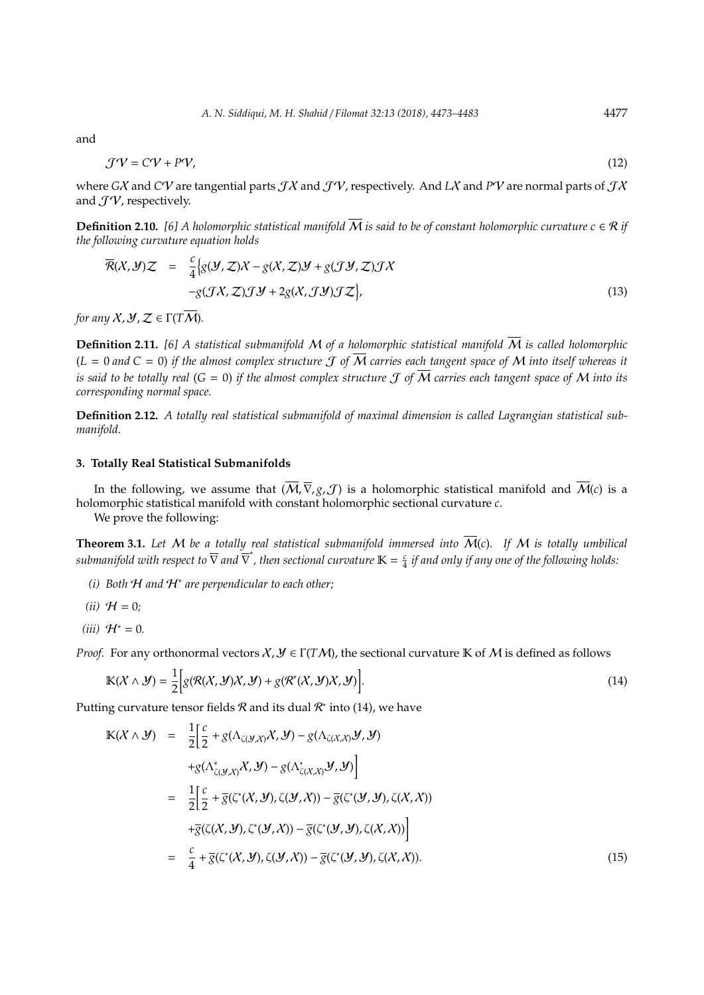and

$$
\mathcal{J}\mathcal{V} = C\mathcal{V} + P\mathcal{V},\tag{12}
$$

where *G*X and *C*V are tangential parts JX and JV, respectively. And *L*X and *P*V are normal parts of JX and  $\mathcal{J}\mathcal{V}$ , respectively.

**Definition 2.10.** [6] A holomorphic statistical manifold  $\overline{M}$  is said to be of constant holomorphic curvature  $c \in \mathcal{R}$  if *the following curvature equation holds*

$$
\overline{\mathcal{R}}(X,\mathcal{Y})Z = \frac{c}{4} \Big\{ g(\mathcal{Y},\mathcal{Z})X - g(X,\mathcal{Z})\mathcal{Y} + g(\mathcal{J}\mathcal{Y},\mathcal{Z})\mathcal{J}X - g(\mathcal{J}X,\mathcal{Z})\mathcal{J}\mathcal{Y} + 2g(X,\mathcal{J}\mathcal{Y})\mathcal{J}\mathcal{Z} \Big\},
$$
\n(13)

*for any*  $X, Y, Z \in \Gamma(T\overline{M})$ .

**Definition 2.11.** [6] A statistical submanifold M of a holomorphic statistical manifold  $\overline{M}$  is called holomorphic  $(L = 0 \text{ and } C = 0)$  if the almost complex structure  $\mathcal J$  of  $\overline{M}$  carries each tangent space of  $M$  into itself whereas it *is said to be totally real*  $(G = 0)$  *if the almost complex structure*  $J$  *of*  $\overline{M}$  *carries each tangent space of*  $M$  *into its corresponding normal space.*

**Definition 2.12.** *A totally real statistical submanifold of maximal dimension is called Lagrangian statistical submanifold.*

#### **3. Totally Real Statistical Submanifolds**

In the following, we assume that  $(\overline{M}, \overline{\nabla}, g, \mathcal{J})$  is a holomorphic statistical manifold and  $\overline{M}(c)$  is a holomorphic statistical manifold with constant holomorphic sectional curvature *c*.

We prove the following:

**Theorem 3.1.** Let M be a totally real statistical submanifold immersed into  $\overline{M}(c)$ . If M is totally umbilical  $submanifold$  with respect to  $\overline{\nabla}$  and  $\overline{\nabla}^*$ , then sectional curvature  $\mathbb{K} = \frac{c}{4}$  if and only if any one of the following holds:

- *(i) Both* H *and* H<sup>∗</sup> *are perpendicular to each other;*
- $(ii)$   $H = 0$ ;
- $(iii)$   $H<sup>∗</sup> = 0$ *.*

*Proof.* For any orthonormal vectors  $X, Y \in \Gamma(TM)$ , the sectional curvature K of M is defined as follows

$$
\mathbb{K}(\mathcal{X}\wedge\mathcal{Y})=\frac{1}{2}\Big[g(\mathcal{R}(\mathcal{X},\mathcal{Y})\mathcal{X},\mathcal{Y})+g(\mathcal{R}^*(\mathcal{X},\mathcal{Y})\mathcal{X},\mathcal{Y})\Big].\tag{14}
$$

Putting curvature tensor fields R and its dual  $\mathcal{R}^*$  into (14), we have

$$
\begin{split}\n\mathbb{K}(X \wedge \mathcal{Y}) &= \frac{1}{2} \Big[ \frac{c}{2} + g(\Lambda_{\zeta(\mathcal{Y},\mathcal{X})} X, \mathcal{Y}) - g(\Lambda_{\zeta(\mathcal{X},\mathcal{X})} \mathcal{Y}, \mathcal{Y}) \\
&\quad + g(\Lambda_{\zeta(\mathcal{Y},\mathcal{X})}^* X, \mathcal{Y}) - g(\Lambda_{\zeta(\mathcal{X},\mathcal{X})}^* \mathcal{Y}, \mathcal{Y}) \Big] \\
&= \frac{1}{2} \Big[ \frac{c}{2} + \overline{g}(\zeta^*(X, \mathcal{Y}), \zeta(\mathcal{Y}, \mathcal{X})) - \overline{g}(\zeta^*(\mathcal{Y}, \mathcal{Y}), \zeta(\mathcal{X}, \mathcal{X})) \\
&\quad + \overline{g}(\zeta(\mathcal{X}, \mathcal{Y}), \zeta^*(\mathcal{Y}, \mathcal{X})) - \overline{g}(\zeta^*(\mathcal{Y}, \mathcal{Y}), \zeta(\mathcal{X}, \mathcal{X})) \Big] \\
&= \frac{c}{4} + \overline{g}(\zeta^*(X, \mathcal{Y}), \zeta(\mathcal{Y}, \mathcal{X})) - \overline{g}(\zeta^*(\mathcal{Y}, \mathcal{Y}), \zeta(\mathcal{X}, \mathcal{X})) .\n\end{split} \tag{15}
$$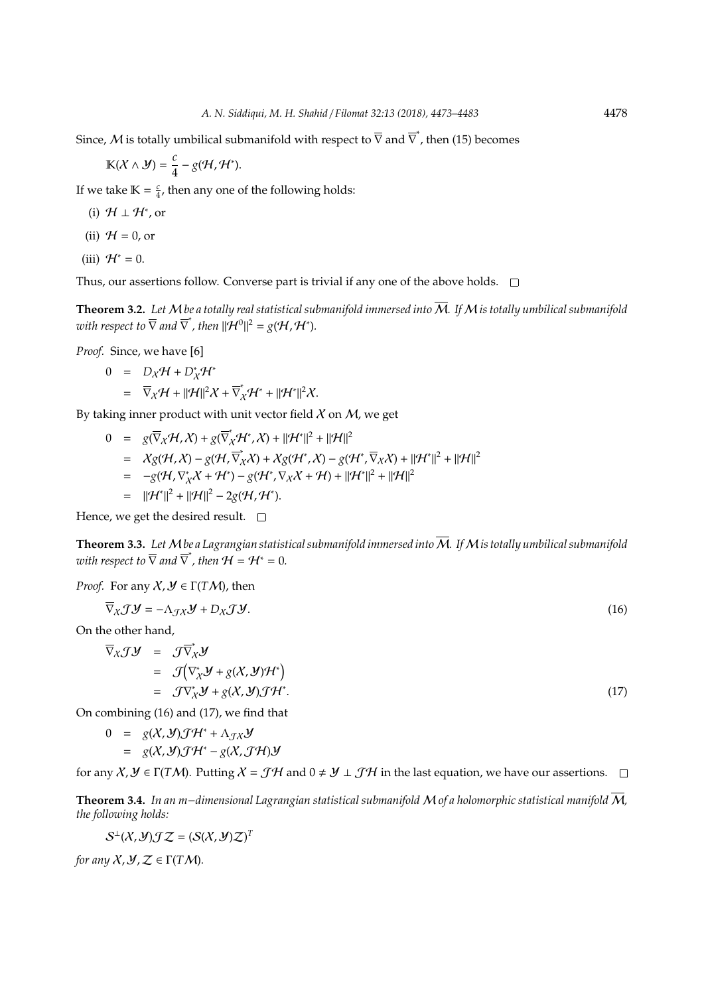Since,  ${\cal M}$  is totally umbilical submanifold with respect to  $\overline{\nabla}$  and  $\overline{\nabla}^*$ , then (15) becomes

$$
\mathbb{K}(\mathcal{X}\wedge\mathcal{Y})=\frac{c}{4}-g(\mathcal{H},\mathcal{H}^*).
$$

If we take  $\mathbb{K} = \frac{c}{4}$ , then any one of the following holds:

- (i)  $\mathcal{H} \perp \mathcal{H}^*$ , or
- (ii)  $H = 0$ , or

(iii)  $\mathcal{H}^* = 0$ .

Thus, our assertions follow. Converse part is trivial if any one of the above holds.  $\Box$ 

**Theorem 3.2.** Let M be a totally real statistical submanifold immersed into  $\overline{M}$ . If M is totally umbilical submanifold with respect to  $\overline{\nabla}$  and  $\overline{\nabla}^*$ , then  $||\mathcal{H}^0||^2 = g(\mathcal{H}, \mathcal{H}^*)$ .

*Proof.* Since, we have [6]

$$
0 = D_X \mathcal{H} + D_X^* \mathcal{H}^*
$$
  
=  $\overline{\nabla}_X \mathcal{H} + ||\mathcal{H}||^2 X + \overline{\nabla}_X^* \mathcal{H}^* + ||\mathcal{H}^*||^2 X.$ 

By taking inner product with unit vector field  $\chi$  on  $M$ , we get

$$
0 = g(\overline{\nabla}_{X} \mathcal{H}, X) + g(\overline{\nabla}_{X}^{*} \mathcal{H}^{*}, X) + ||\mathcal{H}^{*}||^{2} + ||\mathcal{H}||^{2}
$$
  
\n
$$
= Xg(\mathcal{H}, X) - g(\mathcal{H}, \overline{\nabla}_{X}^{*} X) + Xg(\mathcal{H}^{*}, X) - g(\mathcal{H}^{*}, \overline{\nabla}_{X} X) + ||\mathcal{H}^{*}||^{2} + ||\mathcal{H}||^{2}
$$
  
\n
$$
= -g(\mathcal{H}, \nabla_{X}^{*} X + \mathcal{H}^{*}) - g(\mathcal{H}^{*}, \nabla_{X} X + \mathcal{H}) + ||\mathcal{H}^{*}||^{2} + ||\mathcal{H}||^{2}
$$
  
\n
$$
= ||\mathcal{H}^{*}||^{2} + ||\mathcal{H}||^{2} - 2g(\mathcal{H}, \mathcal{H}^{*}).
$$

Hence, we get the desired result.  $\square$ 

**Theorem 3.3.** *Let*M*be a Lagrangian statistical submanifold immersed into*M*. If*M*is totally umbilical submanifold* ∗ with respect to  $\overline{\nabla}$  and  $\overline{\nabla}^*$ , then  $\mathcal{H}=\mathcal{H}^*=0.$ 

*Proof.* For any 
$$
X, Y \in \Gamma(TM)
$$
, then

$$
\overline{\nabla}_{X} \mathcal{J} \mathcal{Y} = -\Lambda_{\mathcal{J}X} \mathcal{Y} + D_X \mathcal{J} \mathcal{Y}.
$$
\n(16)

On the other hand,

$$
\overline{\nabla}_{X} \mathcal{J} \mathcal{Y} = \mathcal{J} \overline{\nabla}_{X}^{*} \mathcal{Y}
$$
\n
$$
= \mathcal{J} (\nabla_{X}^{*} \mathcal{Y} + g(X, \mathcal{Y}) \mathcal{H}^{*})
$$
\n
$$
= \mathcal{J} \nabla_{X}^{*} \mathcal{Y} + g(X, \mathcal{Y}) \mathcal{J} \mathcal{H}^{*}.
$$
\n(17)

On combining (16) and (17), we find that

$$
0 = g(X, Y) \mathcal{J} \mathcal{H}^* + \Lambda_{\mathcal{J} X} \mathcal{Y}
$$
  
= g(X, Y) \mathcal{J} \mathcal{H}^\* - g(X, \mathcal{J} \mathcal{H}) \mathcal{Y}

for any  $X, Y \in \Gamma(TM)$ . Putting  $X = \mathcal{J}H$  and  $0 \neq Y \perp \mathcal{J}H$  in the last equation, we have our assertions.  $\square$ 

**Theorem 3.4.** *In an m*−*dimensional Lagrangian statistical submanifold* M *of a holomorphic statistical manifold* M*, the following holds:*

$$
\mathcal{S}^\perp(\mathcal{X},\mathcal{Y})\mathcal{J}\mathcal{Z}=(\mathcal{S}(\mathcal{X},\mathcal{Y})\mathcal{Z})^T
$$

*for any*  $X, Y, Z \in \Gamma(TM)$ .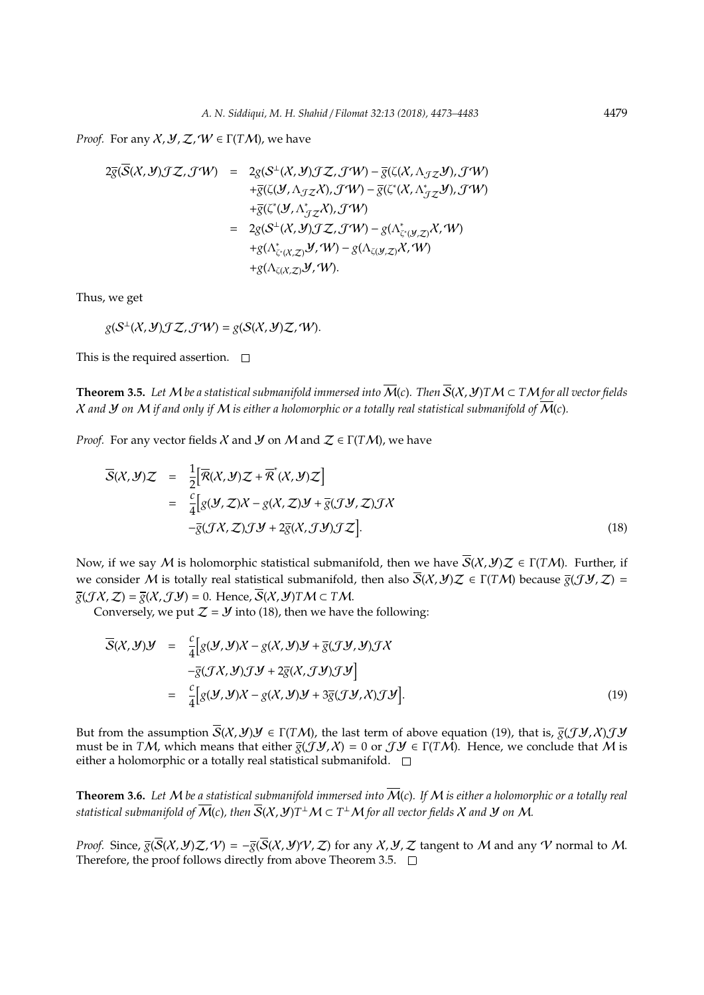*Proof.* For any  $X, Y, Z, W \in \Gamma(TM)$ , we have

$$
2\overline{g}(\overline{S}(X, Y)JZ, J'W) = 2g(S^{\perp}(X, Y)JZ, J'W) - \overline{g}(\zeta(X, \Lambda_{JZ}Y), J'W)
$$
  
\n
$$
+ \overline{g}(\zeta(Y, \Lambda_{JZ}X), J'W) - \overline{g}(\zeta^*(X, \Lambda_{JZ}^*Y), J'W)
$$
  
\n
$$
+ \overline{g}(\zeta^*(Y, \Lambda_{JZ}^*X), J'W)
$$
  
\n
$$
= 2g(S^{\perp}(X, Y)JZ, J'W) - g(\Lambda_{\zeta^*(Y, Z)}^*X, W)
$$
  
\n
$$
+ g(\Lambda_{\zeta(X, Z)}^*Y, W) - g(\Lambda_{\zeta(Y, Z)}X, W)
$$
  
\n
$$
+ g(\Lambda_{\zeta(X, Z)}^*Y, W).
$$

Thus, we get

 $g(S^{\perp}(X, Y) \mathcal{J} \mathcal{Z}, \mathcal{J} \mathcal{W}) = g(S(X, Y) \mathcal{Z}, \mathcal{W}).$ 

This is the required assertion.  $\square$ 

**Theorem 3.5.** Let M be a statistical submanifold immersed into  $\overline{M}(c)$ . Then  $\overline{S}(X, Y)$ *TM*  $\subset T M$  for all vector fields  $X$  and  $Y$  on  $M$  *if and only if*  $M$  *is either a holomorphic or a totally real statistical submanifold of*  $\overline{M}$ (*c*).

*Proof.* For any vector fields X and  $\mathcal{Y}$  on M and  $\mathcal{Z} \in \Gamma(TM)$ , we have

$$
\overline{S}(X, Y)Z = \frac{1}{2} [\overline{R}(X, Y)Z + \overline{R}^*(X, Y)Z]
$$
  
\n
$$
= \frac{c}{4} [g(Y, Z)X - g(X, Z)Y + \overline{g}(JY, Z)JX
$$
  
\n
$$
-g(JX, Z)JY + 2\overline{g}(X, JY)JZ].
$$
\n(18)

Now, if we say M is holomorphic statistical submanifold, then we have  $\overline{S}(X, Y)Z \in \Gamma(TM)$ . Further, if we consider M is totally real statistical submanifold, then also  $\overline{S}(X, Y)Z \in \Gamma(TM)$  because  $\overline{g}(JY, Z) =$  $\overline{g}(\mathcal{J}X,\mathcal{Z}) = \overline{g}(X,\mathcal{J}Y) = 0$ . Hence,  $\overline{S}(X,\mathcal{Y})TM \subset TM$ .

Conversely, we put  $Z = Y$  into (18), then we have the following:

$$
\overline{S}(X, Y)Y = \frac{c}{4} [g(Y, Y)X - g(X, Y)Y + \overline{g}(JY, Y)JX
$$
  
\n
$$
-\overline{g}(JX, Y)JY + 2\overline{g}(X, JY)JY]
$$
  
\n
$$
= \frac{c}{4} [g(Y, Y)X - g(X, Y)Y + 3\overline{g}(JY, X)JY].
$$
\n(19)

But from the assumption  $\overline{S}(X, Y)Y \in \Gamma(TM)$ , the last term of above equation (19), that is,  $\overline{g}(JY, X)JY$ must be in *TM*, which means that either  $\overline{g}(\mathcal{J}\mathcal{Y},\mathcal{X}) = 0$  or  $\mathcal{J}\mathcal{Y} \in \Gamma(T\mathcal{M})$ . Hence, we conclude that M is either a holomorphic or a totally real statistical submanifold.  $\square$ 

**Theorem 3.6.** *Let* M *be a statistical submanifold immersed into* M(*c*)*. If* M *is either a holomorphic or a totally real*  $s$ tatistical submanifold of  $\overline{\mathcal{M}}(c)$ , then  $\overline{\mathcal{S}}(\mathcal{X},\mathcal{Y}) T^\perp \mathcal{M} \subset T^\perp \mathcal{M}$  for all vector fields  $\mathcal X$  and  $\mathcal Y$  on  $\mathcal M$ .

*Proof.* Since,  $\overline{g}(\overline{S}(X, Y)Z, V) = -\overline{g}(\overline{S}(X, Y)V, Z)$  for any X, Y, Z tangent to M and any V normal to M. Therefore, the proof follows directly from above Theorem 3.5.  $\Box$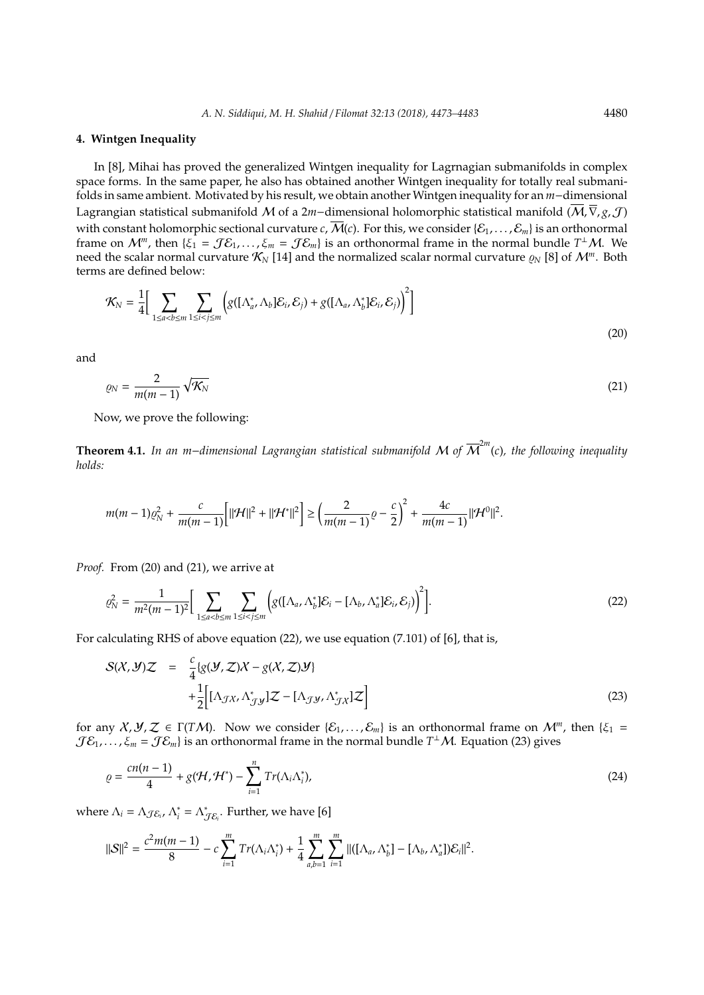#### **4. Wintgen Inequality**

In [8], Mihai has proved the generalized Wintgen inequality for Lagrnagian submanifolds in complex space forms. In the same paper, he also has obtained another Wintgen inequality for totally real submanifolds in same ambient. Motivated by his result, we obtain another Wintgen inequality for an *m*−dimensional Lagrangian statistical submanifold M of a 2*m*−dimensional holomorphic statistical manifold (M,∇, *g*, J) with constant holomorphic sectional curvature *c*,  $\overline{M}(c)$ . For this, we consider { $\mathcal{E}_1, \ldots, \mathcal{E}_m$ } is an orthonormal frame on  $M^m$ , then  $\{\xi_1 = \mathcal{J}\mathcal{E}_1,\ldots,\xi_m = \mathcal{J}\mathcal{E}_m\}$  is an orthonormal frame in the normal bundle  $T^{\perp}M$ . We need the scalar normal curvature  $\mathcal{K}_N$  [14] and the normalized scalar normal curvature  $\varrho_N$  [8] of  $\mathcal{M}^m$ . Both terms are defined below:

$$
\mathcal{K}_{N} = \frac{1}{4} \Big[ \sum_{1 \le a < b \le m} \sum_{1 \le i < j \le m} \Big( g \big( [\Lambda_a^*, \Lambda_b] \mathcal{E}_i, \mathcal{E}_j \big) + g \big( [\Lambda_a, \Lambda_b^*] \mathcal{E}_i, \mathcal{E}_j \big) \Big)^2 \Big]
$$
\n(20)

and

$$
\varrho_N = \frac{2}{m(m-1)} \sqrt{\mathcal{K}_N} \tag{21}
$$

Now, we prove the following:

**Theorem 4.1.** *In an m*−*dimensional Lagrangian statistical submanifold* M *of* M 2*m* (*c*)*, the following inequality holds:*

$$
m(m-1)\varrho_N^2 + \frac{c}{m(m-1)}\Big[\|\mathcal{H}\|^2 + \|\mathcal{H}^*\|^2\Big] \ge \left(\frac{2}{m(m-1)}\varrho - \frac{c}{2}\right)^2 + \frac{4c}{m(m-1)}\|\mathcal{H}^0\|^2.
$$

*Proof.* From (20) and (21), we arrive at

$$
\varrho_N^2 = \frac{1}{m^2(m-1)^2} \Big[ \sum_{1 \le a < b \le m} \sum_{1 \le i < j \le m} \Big( g([\Lambda_a, \Lambda_b^*] \mathcal{E}_i - [\Lambda_b, \Lambda_a^*] \mathcal{E}_i, \mathcal{E}_j) \Big)^2 \Big]. \tag{22}
$$

For calculating RHS of above equation (22), we use equation (7.101) of [6], that is,

$$
S(X, Y)Z = \frac{c}{4} \{g(Y, Z)X - g(X, Z)Y\} + \frac{1}{2} \Big[ [\Lambda_{\mathcal{J}X}, \Lambda_{\mathcal{J}Y}^*]Z - [\Lambda_{\mathcal{J}Y}, \Lambda_{\mathcal{J}X}^*]Z \Big]
$$
(23)

for any  $X, Y, Z \in \Gamma(TM)$ . Now we consider  $\{S_1, \ldots, S_m\}$  is an orthonormal frame on  $\mathcal{M}^m$ , then  $\{\xi_1 =$  $\mathcal{J}\mathcal{E}_1,\ldots,\xi_m=\mathcal{J}\mathcal{E}_m$ } is an orthonormal frame in the normal bundle  $T^\perp \mathcal{M}$ . Equation (23) gives

$$
\varrho = \frac{cn(n-1)}{4} + g(\mathcal{H}, \mathcal{H}^*) - \sum_{i=1}^n Tr(\Lambda_i \Lambda_i^*), \qquad (24)
$$

where  $\Lambda_i = \Lambda_{\mathcal{J} \mathcal{E}_i}$ ,  $\Lambda_i^* = \Lambda_{\mathcal{J} \mathcal{E}_i}^*$ . Further, we have [6]

$$
||S||^2=\frac{c^2m(m-1)}{8}-c\sum_{i=1}^mTr(\Lambda_i\Lambda_i^*)+\frac{1}{4}\sum_{a,b=1}^m\sum_{i=1}^m||([\Lambda_a,\Lambda_b^*]-[\Lambda_b,\Lambda_a^*])\mathcal{E}_i||^2.
$$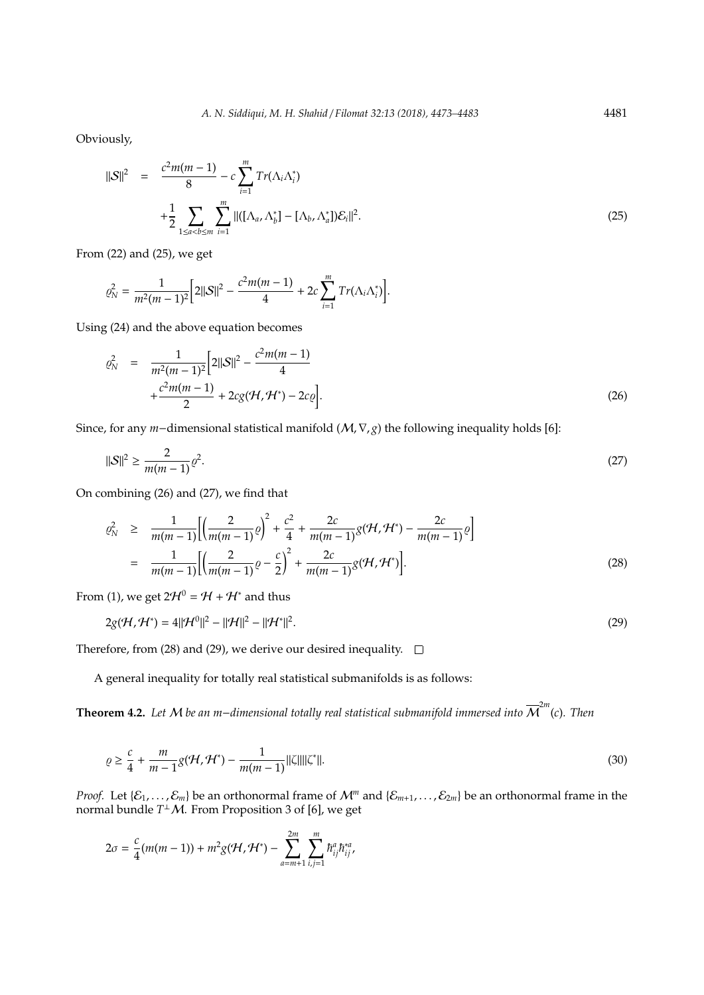Obviously,

$$
\|\mathcal{S}\|^2 = \frac{c^2 m(m-1)}{8} - c \sum_{i=1}^m Tr(\Lambda_i \Lambda_i^*)
$$
  
+ 
$$
\frac{1}{2} \sum_{1 \le a < b \le m} \sum_{i=1}^m ||([\Lambda_a, \Lambda_b^*] - [\Lambda_b, \Lambda_a^*]) \mathcal{E}_i||^2.
$$
 (25)

From (22) and (25), we get

$$
\varrho_N^2 = \frac{1}{m^2(m-1)^2} \Big[ 2 ||\mathcal{S}||^2 - \frac{c^2 m(m-1)}{4} + 2c \sum_{i=1}^m Tr(\Lambda_i \Lambda_i^*) \Big].
$$

Using (24) and the above equation becomes

$$
\varrho_N^2 = \frac{1}{m^2(m-1)^2} \Big[ 2||S||^2 - \frac{c^2m(m-1)}{4} + \frac{c^2m(m-1)}{2} + 2cg(\mathcal{H}, \mathcal{H}^*) - 2c\varrho \Big].
$$
\n(26)

Since, for any *m*−dimensional statistical manifold (M,∇, *g*) the following inequality holds [6]:

$$
||S||^2 \ge \frac{2}{m(m-1)}\varrho^2.
$$
 (27)

On combining (26) and (27), we find that

$$
\varrho_N^2 \geq \frac{1}{m(m-1)} \Biggl[ \Biggl( \frac{2}{m(m-1)} \varrho \Biggr)^2 + \frac{c^2}{4} + \frac{2c}{m(m-1)} g(\mathcal{H}, \mathcal{H}^*) - \frac{2c}{m(m-1)} \varrho \Biggr] \n= \frac{1}{m(m-1)} \Biggl[ \Biggl( \frac{2}{m(m-1)} \varrho - \frac{c}{2} \Biggr)^2 + \frac{2c}{m(m-1)} g(\mathcal{H}, \mathcal{H}^*) \Biggr].
$$
\n(28)

From (1), we get  $2\mathcal{H}^0 = \mathcal{H} + \mathcal{H}^*$  and thus

$$
2g(\mathcal{H}, \mathcal{H}^*) = 4||\mathcal{H}^0||^2 - ||\mathcal{H}||^2 - ||\mathcal{H}^*||^2.
$$
\n(29)

Therefore, from (28) and (29), we derive our desired inequality.  $\square$ 

A general inequality for totally real statistical submanifolds is as follows:

**Theorem 4.2.** *Let* M *be an m*−*dimensional totally real statistical submanifold immersed into* M 2*m* (*c*)*. Then*

$$
\varrho \ge \frac{c}{4} + \frac{m}{m-1} g(\mathcal{H}, \mathcal{H}^*) - \frac{1}{m(m-1)} ||\zeta|| ||\zeta^*||. \tag{30}
$$

*Proof.* Let  $\{\mathcal{E}_1,\ldots,\mathcal{E}_m\}$  be an orthonormal frame of  $\mathcal{M}^m$  and  $\{\mathcal{E}_{m+1},\ldots,\mathcal{E}_{2m}\}$  be an orthonormal frame in the normal bundle  $T^{\perp}\mathcal{M}$ . From Proposition 3 of [6], we get

$$
2\sigma = \frac{c}{4}(m(m-1)) + m^2 g(\mathcal{H}, \mathcal{H}^*) - \sum_{a=m+1}^{2m} \sum_{i,j=1}^m \hbar_{ij}^a \hbar_{ij}^{*a},
$$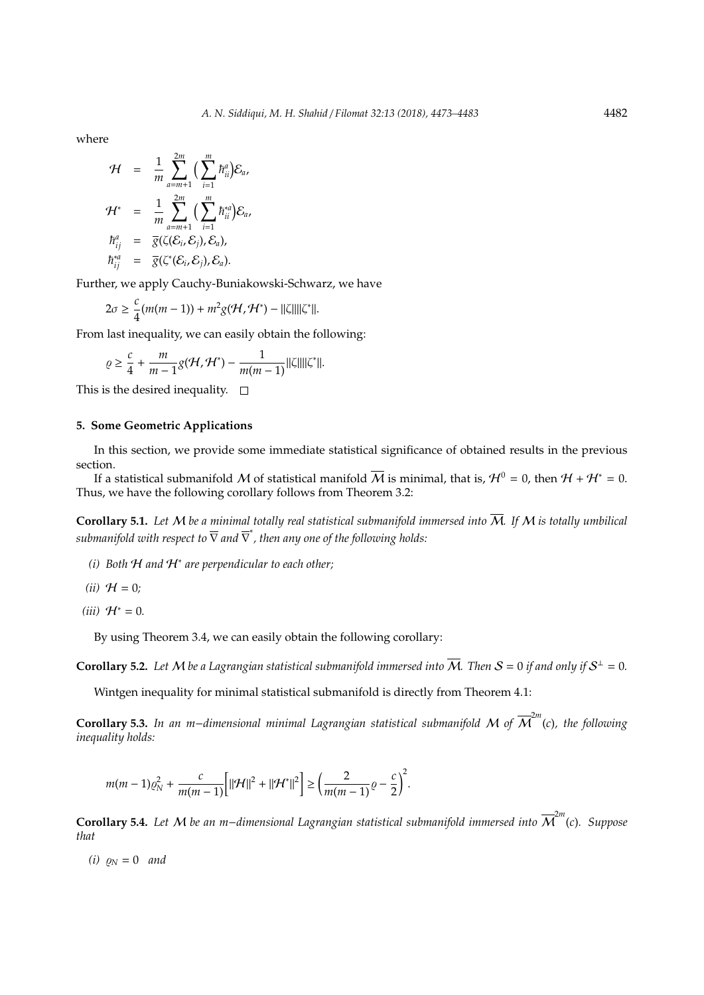where

$$
\mathcal{H} = \frac{1}{m} \sum_{a=m+1}^{2m} \Big( \sum_{i=1}^{m} \hbar_{ii}^{a} \Big) \mathcal{E}_{a},
$$
  

$$
\mathcal{H}^{*} = \frac{1}{m} \sum_{a=m+1}^{2m} \Big( \sum_{i=1}^{m} \hbar_{ii}^{*a} \Big) \mathcal{E}_{a},
$$
  

$$
\hbar_{ij}^{a} = \overline{g}(\zeta(\mathcal{E}_{i}, \mathcal{E}_{j}), \mathcal{E}_{a}),
$$
  

$$
\hbar_{ij}^{*a} = \overline{g}(\zeta^{*}(\mathcal{E}_{i}, \mathcal{E}_{j}), \mathcal{E}_{a}).
$$

Further, we apply Cauchy-Buniakowski-Schwarz, we have

$$
2\sigma \geq \frac{c}{4}(m(m-1))+m^2g(\mathcal{H},\mathcal{H}^*)-||\zeta||||\zeta^*||.
$$

From last inequality, we can easily obtain the following:

$$
\varrho \geq \frac{c}{4} + \frac{m}{m-1} g(\mathcal{H}, \mathcal{H}^*) - \frac{1}{m(m-1)} ||\zeta||||\zeta^*||.
$$

This is the desired inequality.  $\square$ 

## **5. Some Geometric Applications**

In this section, we provide some immediate statistical significance of obtained results in the previous section.

If a statistical submanifold M of statistical manifold  $\overline{M}$  is minimal, that is,  $\mathcal{H}^0 = 0$ , then  $\mathcal{H} + \mathcal{H}^* = 0$ . Thus, we have the following corollary follows from Theorem 3.2:

**Corollary 5.1.** Let M be a minimal totally real statistical submanifold immersed into  $\overline{M}$ . If M is totally umbilical *submanifold with respect to* ∇ *and* ∇ ∗ *, then any one of the following holds:*

- *(i) Both* H *and* H<sup>∗</sup> *are perpendicular to each other;*
- $(ii)$   $H = 0;$
- $(iii)$   $H<sup>∗</sup> = 0$ *.*

By using Theorem 3.4, we can easily obtain the following corollary:

**Corollary 5.2.** Let M be a Lagrangian statistical submanifold immersed into  $\overline{M}$ . Then  $S = 0$  if and only if  $S^{\perp} = 0$ .

Wintgen inequality for minimal statistical submanifold is directly from Theorem 4.1:

**Corollary 5.3.** *In an m*−*dimensional minimal Lagrangian statistical submanifold* M *of* M 2*m* (*c*)*, the following inequality holds:*

$$
m(m-1)\varrho_N^2 + \frac{c}{m(m-1)}\Big[\|\mathcal{H}\|^2 + \|\mathcal{H}^*\|^2\Big] \ge \left(\frac{2}{m(m-1)}\varrho - \frac{c}{2}\right)^2.
$$

**Corollary 5.4.** *Let* M *be an m*−*dimensional Lagrangian statistical submanifold immersed into* M 2*m* (*c*)*. Suppose that*

*(i)*  $\rho_N = 0$  *and*